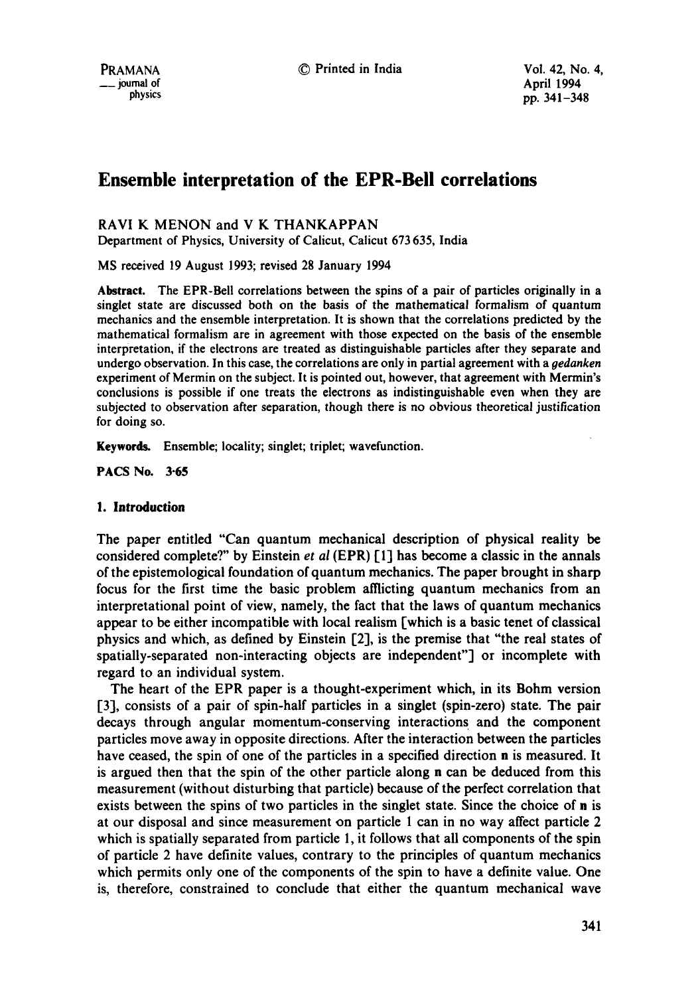# **Ensemble interpretation of the EPR-Bell correlations**

# RAVI K MENON and V K THANKAPPAN

Department of Physics, University of Calicut, Calicut 673 635, India

MS received 19 August 1993; revised 28 January 1994

**Abstract.** The EPR-Bell correlations between the spins of a pair of particles originally in a singlet state are discussed both on the basis of the mathematical formalism of quantum mechanics and the ensemble interpretation. It is shown that the correlations predicted by the mathematical formalism are in agreement with those expected on the basis of the ensemble interpretation, if the electrons are treated as distinguishable particles after they separate and undergo observation. In this case, the correlations are only in partial agreement with a *oedanken*  experiment of Mermin on the subject. It is pointed out, however, that agreement with Mermin's conclusions is possible if one treats the electrons as indistinguishable even when they are subjected to observation after separation, though there is no obvious theoretical justification for doing so.

**Keywords.** Ensemble; locality; singlet; triplet; wavefunction.

PACS No. 3-65

# **1. Introduction**

The paper entitled "Can quantum mechanical description of physical reality be considered complete?" by Einstein *et al* (EPR) [I] has become a classic in the annals of the epistemological foundation of quantum mechanics. The paper brought in sharp focus for the first time the basic problem afflicting quantum mechanics from an interpretational point of view, namely, the fact that the laws of quantum mechanics appear to be either incompatible with local realism [which is a basic tenet of classical physics and which, as defined by Einstein [2], is the premise that "the real states of spatially-separated non-interacting objects are independent"] or incomplete with regard to an individual system.

The heart of the EPR paper is a thought-experiment which, in its Bohm version [3], consists of a pair of spin-half particles in a singlet (spin-zero) state. The pair decays through angular momentum-conserving interactions and the component particles move away in opposite directions. After the interaction between the particles have ceased, the spin of one of the particles in a specified direction n is measured. It is argued then that the spin of the other particle along n can be deduced from this measurement (without disturbing that particle) because of the perfect correlation that exists between the spins of two particles in the singlet state. Since the choice of n is at our disposal and since measurement on particle I can in no way affect particle 2 which is spatially separated from particle 1, it follows that all components of the spin of particle 2 have definite values, contrary to the principles of quantum mechanics which permits only one of the components of the spin to have a definite value. One is, therefore, constrained to conclude that either the quantum mechanical wave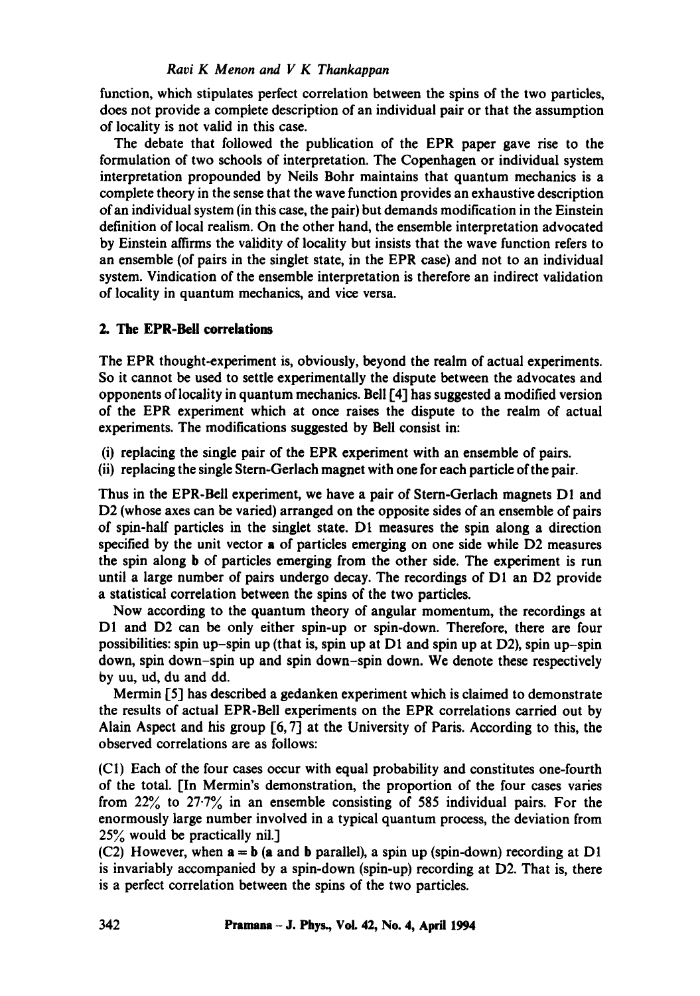# *Ravi K Menon and V K Thankappan*

function, which stipulates perfect correlation between the spins of the two particles, does not provide a complete description of an individual pair or that the assumption of locality is not valid in this case.

The debate that followed the publication of the EPR paper gave rise to the formulation of two schools of interpretation. The Copenhagen or individual system interpretation propounded by Neils Bohr maintains that quantum mechanics is a complete theory in the sense that the wave function provides an exhaustive description of an individual system (in this case, the pair) but demands modification in the Einstein definition of local realism. On the other hand, the ensemble interpretation advocated by Einstein affirms the validity of locality but insists that the wave function refers to an ensemble (of pairs in the singlet state, in the EPR case) and not to an individual system. Vindication of the ensemble interpretation is therefore an indirect validation of locality in quantum mechanics, and vice versa.

# **2. The EPR-Bell correlations**

The EPR thought-experiment is, obviously, beyond the realm of actual experiments. So it cannot be used to settle experimentally the dispute between the advocates and opponents of locality in quantum mechanics. Bell [4] has suggested a modified version of the EPR experiment which at once raises the dispute to the realm of actual experiments. The modifications suggested by Bell consist in:

- (i) replacing the single pair of the EPR experiment with an ensemble of pairs.
- (ii) replacing the single Stern-Gerlach magnet with one for each particle of the pair.

Thus in the EPR-Bell experiment, we have a pair of Stern-Gerlach magnets D1 and D2 (whose axes can be varied) arranged on the opposite sides of an ensemble of pairs of spin-half particles in the singlet state. D1 measures the spin along a direction specified by the unit vector a of particles emerging on one side while D2 measures the spin along b of particles emerging from the other side. The experiment is run until a large number of pairs undergo decay. The recordings of DI an D2 provide a statistical correlation between the spins of the two particles.

Now according to the quantum theory of angular momentum, the recordings at D1 and D2 can be only either spin-up or spin-down. Therefore, there are four possibilities: spin up-spin up (that is, spin up at  $D1$  and spin up at  $D2$ ), spin up-spin down, spin down-spin up and spin down-spin down. We denote these respectively by uu, ud, du and dd.

Mermin [5] has described a gedanken experiment which is claimed to demonstrate the results of actual EPR-Bell experiments on the EPR correlations carried out by Alain Aspect and his group [6, 7] at the University of Paris. According to this, the observed correlations are as follows:

(C1) Each of the four cases occur with equal probability and constitutes one-fourth of the total. [In Mermin's demonstration, the proportion of the four cases varies from  $22\%$  to  $27.7\%$  in an ensemble consisting of 585 individual pairs. For the enormously large number involved in a typical quantum process, the deviation from  $25%$  would be practically nil.]

(C2) However, when  $a = b$  (a and b parallel), a spin up (spin-down) recording at D1 is invariably accompanied by a spin-down (spin-up) recording at D2. That is, there is a perfect correlation between the spins of the two particles.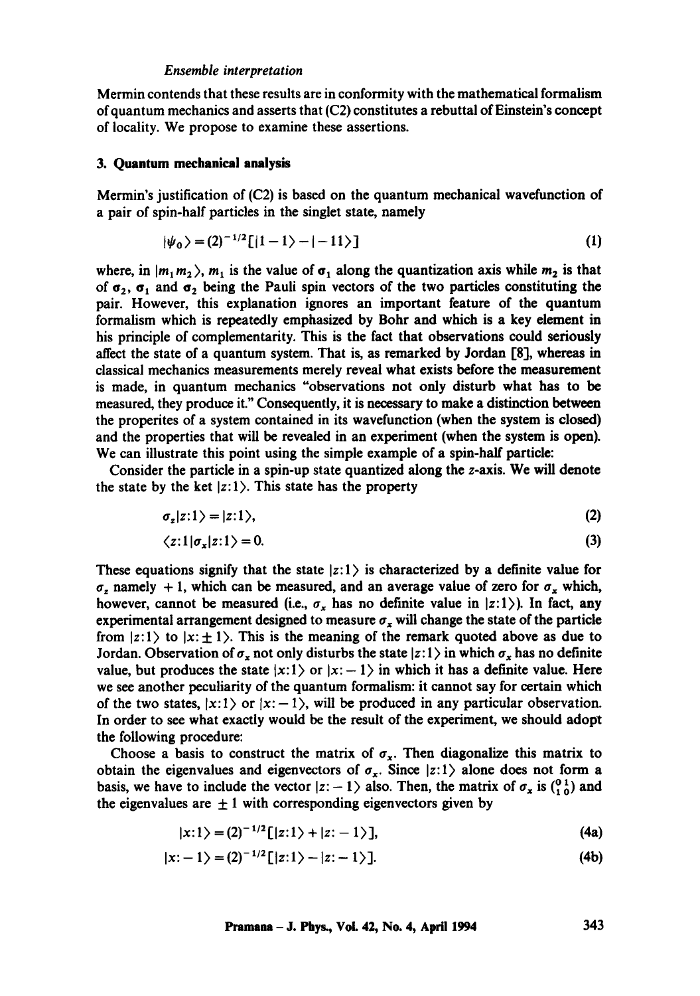#### *Ensemble interpretation*

Mermin contends that these results are in conformity with the mathematical formalism of quantum mechanics and asserts that (C2) constitutes a rebuttal of Einstein's concept of locality. We propose to examine these assertions.

#### **3. Quantum mechanical analysis**

Mermin's justification of (C2) is based on the quantum mechanical wavefunction of a pair of spin-half particles in the singlet state, namely

$$
|\psi_0\rangle = (2)^{-1/2} \left[ |1-1\rangle - |-11\rangle \right] \tag{1}
$$

where, in  $|m_1 m_2\rangle$ ,  $m_1$  is the value of  $\sigma_1$  along the quantization axis while  $m_2$  is that of  $\sigma_2$ ,  $\sigma_1$  and  $\sigma_2$  being the Pauli spin vectors of the two particles constituting the pair. However, this explanation ignores an important feature of the quantum formalism which is repeatedly emphasized by Bohr and which is a key element in his principle of complementarity. This is the fact that observations could seriously affect the state of a quantum system. That is, as remarked by Jordan [8], whereas in classical mechanics measurements merely reveal what exists before the measurement is made, in quantum mechanics "observations not only disturb what has to be measured, they produce it." Consequently, it is necessary to make a distinction between the properites of a system contained in its wavefunction (when the system is closed) and the properties that will be revealed in an experiment (when the system is open). We can illustrate this point using the simple example of a spin-half particle:

Consider the particle in a spin-up state quantized along the z-axis. We will denote the state by the ket  $|z:1\rangle$ . This state has the property

$$
\sigma_z|z:1\rangle=|z:1\rangle,\tag{2}
$$

$$
\langle z:1|\sigma_x|z:1\rangle = 0. \tag{3}
$$

These equations signify that the state  $|z:1\rangle$  is characterized by a definite value for  $\sigma_z$  namely + 1, which can be measured, and an average value of zero for  $\sigma_x$  which, however, cannot be measured (i.e.,  $\sigma_x$  has no definite value in  $|z:1\rangle$ ). In fact, any experimental arrangement designed to measure  $\sigma_x$  will change the state of the particle from  $|z:1\rangle$  to  $|x:\pm 1\rangle$ . This is the meaning of the remark quoted above as due to Jordan. Observation of  $\sigma_x$  not only disturbs the state  $|z: 1\rangle$  in which  $\sigma_x$  has no definite value, but produces the state  $|x: 1\rangle$  or  $|x: -1\rangle$  in which it has a definite value. Here we see another peculiarity of the quantum formalism: it cannot say for certain which of the two states,  $|x:1\rangle$  or  $|x:-1\rangle$ , will be produced in any particular observation. In order to see what exactly would be the result of the experiment, we should adopt the following procedure:

Choose a basis to construct the matrix of  $\sigma_x$ . Then diagonalize this matrix to obtain the eigenvalues and eigenvectors of  $\sigma_x$ . Since  $|z:1\rangle$  alone does not form a basis, we have to include the vector  $|z - 1\rangle$  also. Then, the matrix of  $\sigma_x$  is  $\binom{0}{1}$  and the eigenvalues are  $\pm 1$  with corresponding eigenvectors given by

$$
|x:1\rangle = (2)^{-1/2}\left[|z:1\rangle + |z:-1\rangle\right],\tag{4a}
$$

$$
|x:-1\rangle = (2)^{-1/2}\left[|z:1\rangle - |z:-1\rangle\right].\tag{4b}
$$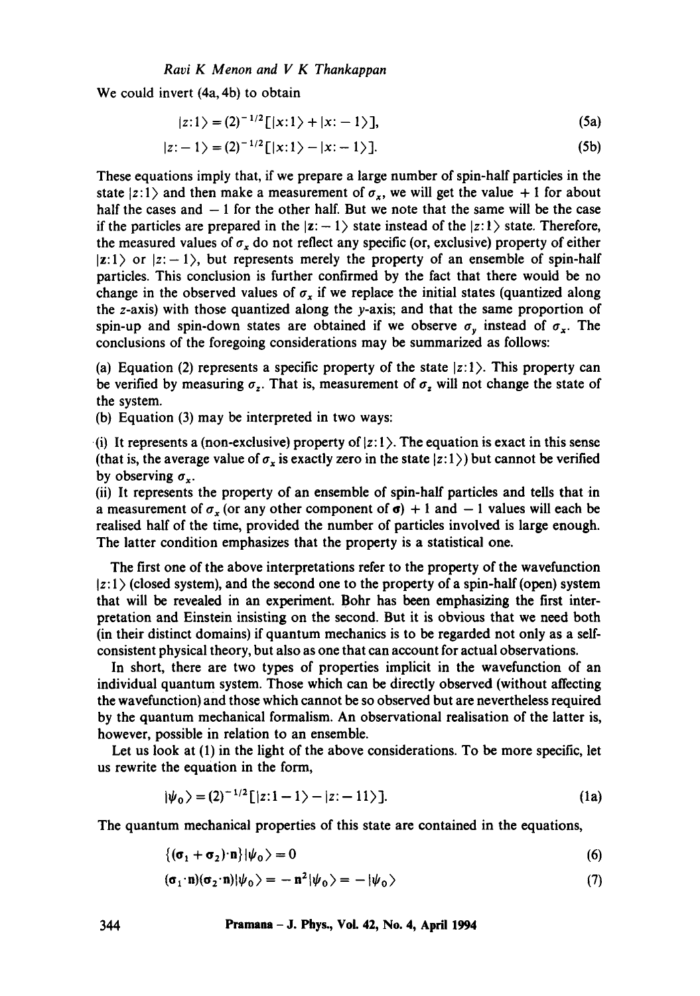We could invert (4a, 4b) to obtain

$$
|z:1\rangle = (2)^{-1/2} \left[ |x:1\rangle + |x:-1\rangle \right],\tag{5a}
$$

$$
|z:-1\rangle = (2)^{-1/2} [ |x:1\rangle - |x:-1\rangle ]. \tag{5b}
$$

These equations imply that, if we prepare a large number of spin-half particles in the state  $|z:1\rangle$  and then make a measurement of  $\sigma_x$ , we will get the value + 1 for about half the cases and  $-1$  for the other half. But we note that the same will be the case if the particles are prepared in the  $|z:-1\rangle$  state instead of the  $|z:1\rangle$  state. Therefore, the measured values of  $\sigma_x$  do not reflect any specific (or, exclusive) property of either  $|z:1\rangle$  or  $|z:-1\rangle$ , but represents merely the property of an ensemble of spin-half particles. This conclusion is further confirmed by the fact that there would be no change in the observed values of  $\sigma_x$  if we replace the initial states (quantized along the z-axis) with those quantized along the y-axis; and that the same proportion of spin-up and spin-down states are obtained if we observe  $\sigma_{v}$  instead of  $\sigma_{x}$ . The conclusions of the foregoing considerations may be summarized as follows:

(a) Equation (2) represents a specific property of the state  $|z:1\rangle$ . This property can be verified by measuring  $\sigma_z$ . That is, measurement of  $\sigma_z$  will not change the state of the system.

(b) Equation (3) may be interpreted in two ways:

(i) It represents a (non-exclusive) property of  $|z:1\rangle$ . The equation is exact in this sense (that is, the average value of  $\sigma_x$  is exactly zero in the state  $|z:1\rangle$ ) but cannot be verified by observing  $\sigma_{\gamma}$ .

(ii) It represents the property of an ensemble of spin-half particles and tells that in a measurement of  $\sigma_r$  (or any other component of  $\sigma$ ) + 1 and - 1 values will each be realised half of the time, provided the number of particles involved is large enough. The latter condition emphasizes that the property is a statistical one.

The first one of the above interpretations refer to the property of the wavefunction  $|z:1\rangle$  (closed system), and the second one to the property of a spin-half (open) system that will be revealed in an experiment. Bohr has been emphasizing the first interpretation and Einstein insisting on the second. But it is obvious that we need both (in their distinct domains) if quantum mechanics is to be regarded not only as a selfconsistent physical theory, but also as one that can account for actual observations.

In short, there are two types of properties implicit in the wavefunction of an individual quantum system. Those which can be directly observed (without affecting the wavefunction) and those which cannot be so observed but are nevertheless required by the quantum mechanical formalism. An observational realisation of the latter is, however, possible in relation to an ensemble.

Let us look at (1) in the light of the above considerations. To be more specific, let us rewrite the equation in the form,

$$
|\psi_0\rangle = (2)^{-1/2} \left[ |z:1-1\rangle - |z:-11\rangle \right].
$$
 (1a)

The quantum mechanical properties of this state are contained in the equations,

$$
\{(\sigma_1 + \sigma_2) \cdot \mathbf{n}\} |\psi_0\rangle = 0
$$
\n(6)

$$
(\sigma_1 \cdot \mathbf{n})(\sigma_2 \cdot \mathbf{n})|\psi_0\rangle = -\mathbf{n}^2|\psi_0\rangle = -|\psi_0\rangle \tag{7}
$$

**344 Pramana - J. Phys., Voi. 42, No. 4, April 1994**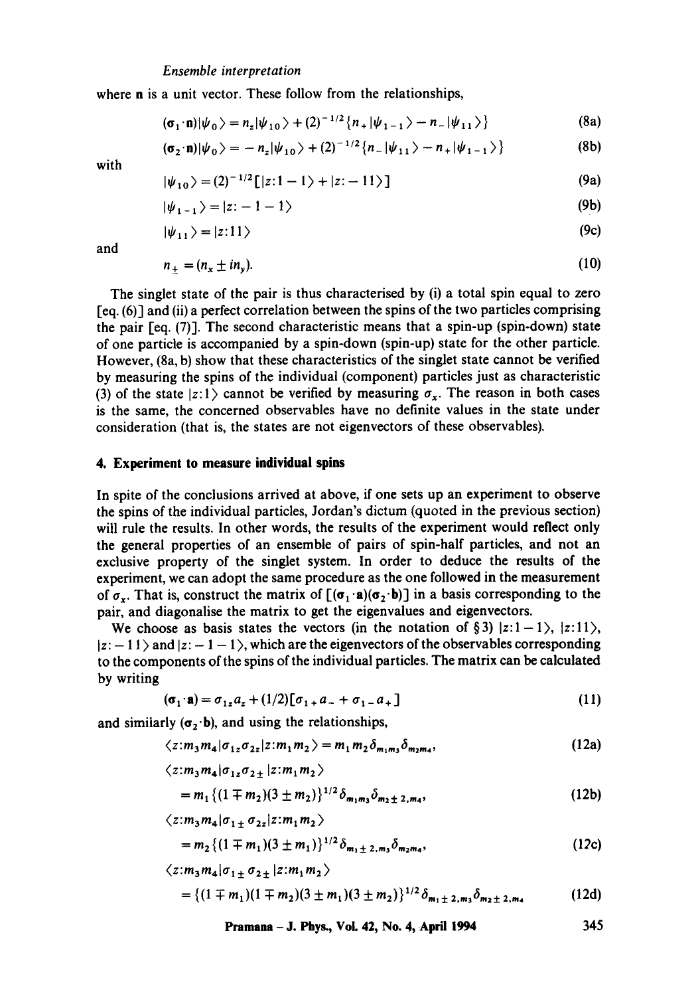#### *Ensemble interpretation*

where n is a unit vector. These follow from the relationships,

$$
(\sigma_1 \cdot n)|\psi_0\rangle = n_z|\psi_{10}\rangle + (2)^{-1/2} \{n_+|\psi_{1-1}\rangle - n_-|\psi_{11}\rangle\}
$$
 (8a)

$$
(\sigma_2 \cdot n) |\psi_0\rangle = -n_z |\psi_{10}\rangle + (2)^{-1/2} \{n_- |\psi_{11}\rangle - n_+ |\psi_{1-1}\rangle\}
$$
 (8b)

with

$$
|\psi_{10}\rangle = (2)^{-1/2} [ |z:1-1\rangle + |z:-11\rangle ]
$$
 (9a)

$$
|\psi_{1-1}\rangle = |z: -1-1\rangle \tag{9b}
$$

$$
|\psi_{11}\rangle = |z:11\rangle \tag{9c}
$$

and

$$
n_{\pm} = (n_x \pm i n_y). \tag{10}
$$

The singlet state of the pair is thus characterised by (i) a total spin equal to zero [eq. (6)1 and (ii) a perfect correlation between the spins of the two particles comprising the pair [eq. (7)]. The second characteristic means that a spin-up (spin-down) state of one particle is accompanied by a spin-down (spin-up) state for the other particle. However, (8a, b) show that these characteristics of the singlet state cannot be verified by measuring the spins of the individual (component) particles just as characteristic (3) of the state  $|z:1\rangle$  cannot be verified by measuring  $\sigma_{x}$ . The reason in both cases is the same, the concerned observables have no definite values in the state under consideration (that is, the states are not eigenvectors of these observables).

## **4. Experiment to measure individual spins**

In spite of the conclusions arrived at above, if one sets up an experiment to observe the spins of the individual particles, Jordan's dictum (quoted in the previous section) will rule the results. In other words, the results of the experiment would reflect only the general properties of an ensemble of pairs of spin-half particles, and not an exclusive property of the singlet system. In order to deduce the results of the experiment, we can adopt the same procedure as the one followed in the measurement of  $\sigma_r$ . That is, construct the matrix of  $[(\sigma_1 \cdot \mathbf{a})(\sigma_2 \cdot \mathbf{b})]$  in a basis corresponding to the pair, and diagonalise the matrix to get the eigenvalues and eigenvectors.

We choose as basis states the vectors (in the notation of §3)  $|z:1-1\rangle$ ,  $|z:11\rangle$ ,  $|z:-11\rangle$  and  $|z:-1-1\rangle$ , which are the eigenvectors of the observables corresponding to the components of the spins of the individual particles. The matrix can be calculated by writing

$$
(\sigma_1 \cdot \mathbf{a}) = \sigma_{1z} a_z + (1/2) [\sigma_{1+} a_{-} + \sigma_{1-} a_{+}] \tag{11}
$$

and similarly  $(\sigma_2 \cdot \mathbf{b})$ , and using the relationships,

$$
\langle z: m_3 m_4 | \sigma_{1z} \sigma_{2z} | z: m_1 m_2 \rangle = m_1 m_2 \delta_{m_1 m_3} \delta_{m_2 m_4}, \qquad (12a)
$$

$$
\langle z: m_3 m_4 | \sigma_{1z} \sigma_{2\pm} | z: m_1 m_2 \rangle
$$
  
=  $m_1 \{ (1 \mp m_2) (3 \pm m_2) \}^{1/2} \delta_{m_1 m_3} \delta_{m_2 \pm 2, m_4},$  (12b)

$$
\langle z: m_3 m_4 | \sigma_{1\pm} \sigma_{2z} | z: m_1 m_2 \rangle
$$

$$
= m_2 \{ (1 \mp m_1)(3 \pm m_1) \}^{1/2} \delta_{m_1 \pm 2, m_3} \delta_{m_2 m_4},
$$
\n
$$
\langle z; m_1 m_1 | \sigma_{1 \pm} \sigma_{2 \pm} | z; m_1 m_1 \rangle
$$
\n(12c)

$$
= \{ (1 \mp m_1)(1 \mp m_2)(3 \pm m_1)(3 \pm m_2) \}^{1/2} \delta_{m_1 \pm 2, m_3} \delta_{m_2 \pm 2, m_4}
$$
 (12d)

**Pramana - J. Phys., VoL 42, No. 4, April 1994 345**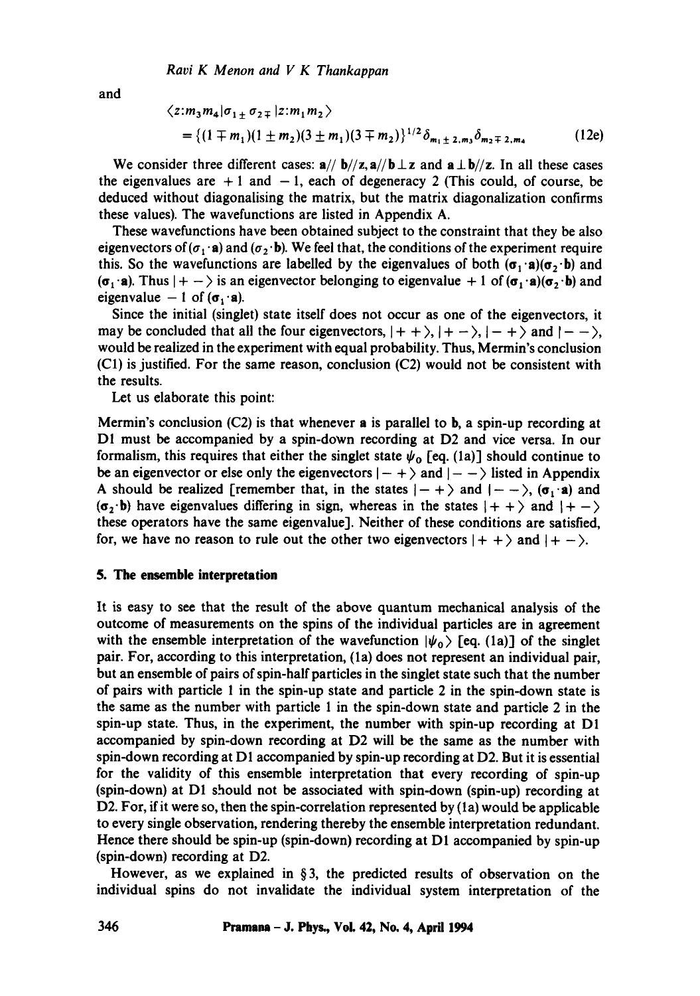and

$$
\langle z: m_3 m_4 | \sigma_{1\pm} \sigma_{2\mp} | z: m_1 m_2 \rangle
$$
  
= { (1 \mp m\_1)(1 \pm m\_2)(3 \pm m\_1)(3 \mp m\_2) }<sup>1/2</sup> \delta\_{m\_1 \pm 2, m\_3} \delta\_{m\_2 \mp 2, m\_4} (12e)

We consider three different cases:  $a// b//z, a// b \perp z$  and  $a \perp b//z$ . In all these cases the eigenvalues are  $+1$  and  $-1$ , each of degeneracy 2 (This could, of course, be deduced without diagonalising the matrix, but the matrix diagonalization confirms these values). The wavefunctions are listed in Appendix A.

These wavefunctions have been obtained subject to the constraint that they be also eigenvectors of ( $\sigma_1 \cdot \mathbf{a}$ ) and ( $\sigma_2 \cdot \mathbf{b}$ ). We feel that, the conditions of the experiment require this. So the wavefunctions are labelled by the eigenvalues of both  $(\sigma_1 \cdot a)(\sigma_2 \cdot b)$  and  $(\sigma_1 \cdot \mathbf{a})$ . Thus  $|+-\rangle$  is an eigenvector belonging to eigenvalue  $+1$  of  $(\sigma_1 \cdot \mathbf{a})(\sigma_2 \cdot \mathbf{b})$  and eigenvalue  $-1$  of  $(\sigma_1 \cdot \mathbf{a})$ .

Since the initial (singlet) state itself does not occur as one of the eigenvectors, it may be concluded that all the four eigenvectors,  $|++\rangle$ ,  $|+-\rangle$ ,  $|-+\rangle$  and  $|--\rangle$ , would be realized in the experiment with equal probability. Thus, Mermin's conclusion (C1) is justified. For the same reason, conclusion (C2) would not be consistent with the results.

Let us elaborate this point:

Mermin's conclusion  $(C2)$  is that whenever a is parallel to b, a spin-up recording at DI must be accompanied by a spin-down recording at D2 and vice versa. In our formalism, this requires that either the singlet state  $\psi_0$  [eq. (1a)] should continue to be an eigenvector or else only the eigenvectors  $|-+ \rangle$  and  $|- - \rangle$  listed in Appendix A should be realized [remember that, in the states  $|- + \rangle$  and  $|-- \rangle$ , ( $\sigma_1 \cdot a$ ) and  $(\sigma_2$  b) have eigenvalues differing in sign, whereas in the states  $|++\rangle$  and  $|+-\rangle$ these operators have the same eigenvalue]. Neither of these conditions are satisfied, for, we have no reason to rule out the other two eigenvectors  $|++\rangle$  and  $|+-\rangle$ .

## **5. The ensemble interpretation**

It is easy to see that the result of the above quantum mechanical analysis of the outcome of measurements on the spins of the individual particles are in agreement with the ensemble interpretation of the wavefunction  $|\psi_0\rangle$  [eq. (1a)] of the singlet pair. For, according to this interpretation, (la) does not represent an individual pair, but an ensemble of pairs of spin-half particles in the singlet state such that the number of pairs with particle 1 in the spin-up state and particle 2 in the spin-down state is the same as the number with particle 1 in the spin-down state and particle 2 in the spin-up state. Thus, in the experiment, the number with spin-up recording at DI accompanied by spin-down recording at D2 will be the same as the number with spin-down recording at Dl accompanied by spin-up recording at D2. But it is essential for the validity of this ensemble interpretation that every recording of spin-up (spin-down) at D1 should not be associated with spin-down (spin-up) recording at D2. For, if it were so, then the spin-correlation represented by (1a) would be applicable to every single observation, rendering thereby the ensemble interpretation redundant. Hence there should be spin-up (spin-down) recording at Dl accompanied by spin-up (spin-down) recording at D2.

However, as we explained in  $\S$ 3, the predicted results of observation on the individual spins do not invalidate the individual system interpretation of the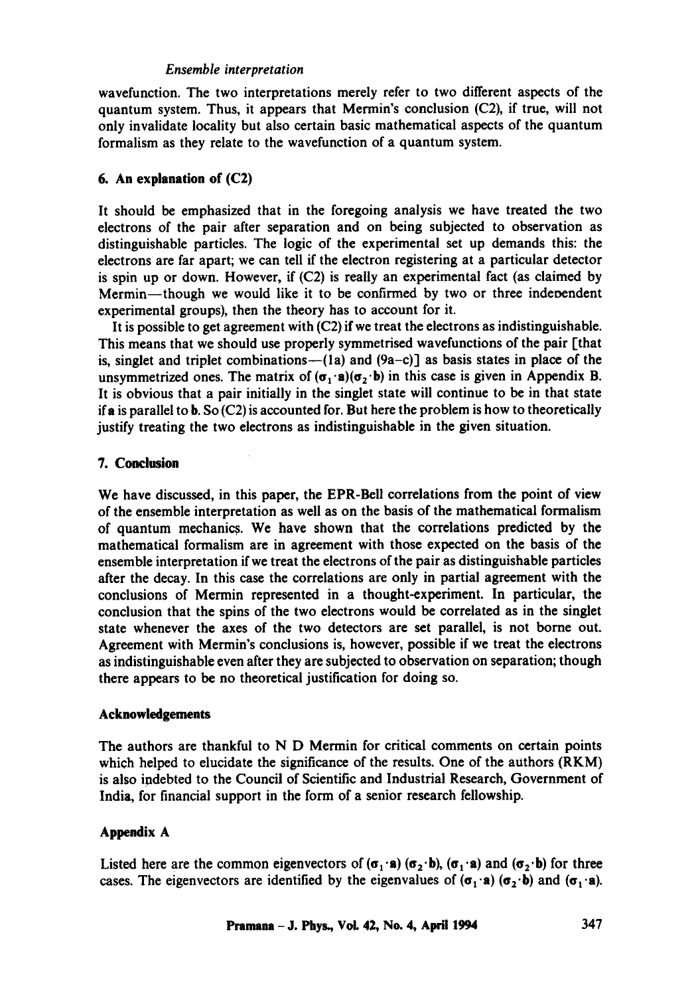# *Ensemble interpretation*

wavefunction. The two interpretations merely refer to two different aspects of the quantum system. Thus, it appears that Mermin's conclusion (C2), if true, will not only invalidate locality but also certain basic mathematical aspects of the quantum formalism as they relate to the wavefunction of a quantum system.

## **6. An explanation of (C2)**

It should be emphasized that in the foregoing analysis we have treated the two electrons of the pair after separation and on being subjected to observation as distinguishable particles. The logic of the experimental set up demands this: the electrons are far apart; we can tell if the electron registering at a particular detector is spin up or down. However, if  $(C2)$  is really an experimental fact (as claimed by Mermin-though we would like it to be confirmed by two or three independent experimental groups), then the theory has to account for it.

It is possible to get agreement with  $(C2)$  if we treat the electrons as indistinguishable. This means that we should use properly symmetrised wavefunctions of the pair [that is, singlet and triplet combinations--(1a) and  $(9a-c)$ ] as basis states in place of the unsymmetrized ones. The matrix of  $(\sigma_1 \cdot \mathbf{a})(\sigma_2 \cdot \mathbf{b})$  in this case is given in Appendix B. It is obvious that a pair initially in the singlet state will continue to be in that state if a is parallel to b. So  $(C2)$  is accounted for. But here the problem is how to theoretically justify treating the two electrons as indistinguishable in the given situation.

## **7. Conclusion**

We have discussed, in this paper, the EPR-Bell correlations from the point of view of the ensemble interpretation as well as on the basis of the mathematical formalism of quantum mechanics. We have shown that the correlations predicted by the mathematical formalism are in agreement with those expected on the basis of the ensemble interpretation if we treat the electrons of the pair as distinguishable particles after the decay. In this case the correlations are only in partial agreement with the conclusions of Mermin represented in a thought-experiment. In particular, the conclusion that the spins of the two electrons would be correlated as in the singlet state whenever the axes of the two detectors are set parallel, is not borne out. Agreement with Mermin's conclusions is, however, possible if we treat the electrons as indistinguishable even after they are subjected to observation on separation; though there appears to be no theoretical justification for doing so.

### **Acknowledgements**

The authors are thankful to N D Mermin for critical comments on certain points which helped to elucidate the significance of the results. One of the authors (RKM) is also indebted to the Council of Scientific and Industrial Research, Government of India, for financial support in the form of a senior research fellowship.

# **Appendix A**

Listed here are the common eigenvectors of  $(\sigma_1 \cdot \mathbf{a}) (\sigma_2 \cdot \mathbf{b})$ ,  $(\sigma_1 \cdot \mathbf{a})$  and  $(\sigma_2 \cdot \mathbf{b})$  for three cases. The eigenvectors are identified by the eigenvalues of  $(\sigma_1 \cdot \mathbf{a}) (\sigma_2 \cdot \mathbf{b})$  and  $(\sigma_1 \cdot \mathbf{a})$ .